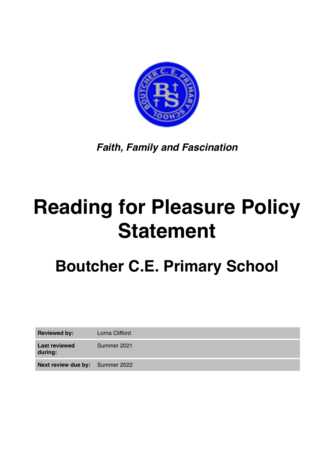

*Faith, Family and Fascination*

## **Reading for Pleasure Policy Statement**

## **Boutcher C.E. Primary School**

| <b>Reviewed by:</b>                    | Lorna Clifford |
|----------------------------------------|----------------|
| <b>Last reviewed</b><br>during:        | Summer 2021    |
| <b>Next review due by:</b> Summer 2022 |                |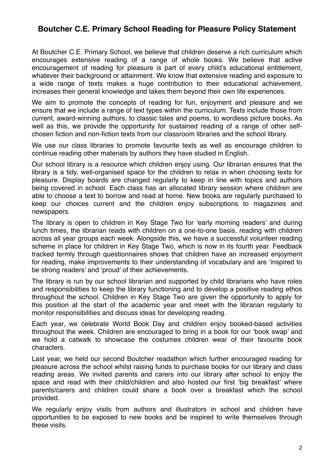## **Boutcher C.E. Primary School Reading for Pleasure Policy Statement**

At Boutcher C.E. Primary School, we believe that children deserve a rich curriculum which encourages extensive reading of a range of whole books. We believe that active encouragement of reading for pleasure is part of every child's educational entitlement, whatever their background or attainment. We know that extensive reading and exposure to a wide range of texts makes a huge contribution to their educational achievement, increases their general knowledge and takes them beyond their own life experiences.

We aim to promote the concepts of reading for fun, enjoyment and pleasure and we ensure that we include a range of text types within the curriculum. Texts include those from current, award-winning authors, to classic tales and poems, to wordless picture books. As well as this, we provide the opportunity for sustained reading of a range of other selfchosen fiction and non-fiction texts from our classroom libraries and the school library.

We use our class libraries to promote favourite texts as well as encourage children to continue reading other materials by authors they have studied in English.

Our school library is a resource which children enjoy using. Our librarian ensures that the library is a tidy, well-organised space for the children to relax in when choosing texts for pleasure. Display boards are changed regularly to keep in line with topics and authors being covered in school. Each class has an allocated library session where children are able to choose a text to borrow and read at home. New books are regularly purchased to keep our choices current and the children enjoy subscriptions to magazines and newspapers.

The library is open to children in Key Stage Two for 'early morning readers' and during lunch times, the librarian reads with children on a one-to-one basis, reading with children across all year groups each week. Alongside this, we have a successful volunteer reading scheme in place for children in Key Stage Two, which is now in its fourth year. Feedback tracked termly through questionnaires shows that children have an increased enjoyment for reading, make improvements to their understanding of vocabulary and are 'inspired to be strong readers' and 'proud' of their achievements.

The library is run by our school librarian and supported by child librarians who have roles and responsibilities to keep the library functioning and to develop a positive reading ethos throughout the school. Children in Key Stage Two are given the opportunity to apply for this position at the start of the academic year and meet with the librarian regularly to monitor responsibilities and discuss ideas for developing reading.

Each year, we celebrate World Book Day and children enjoy booked-based activities throughout the week. Children are encouraged to bring in a book for our 'book swap' and we hold a catwalk to showcase the costumes children wear of their favourite book characters.

Last year, we held our second Boutcher readathon which further encouraged reading for pleasure across the school whilst raising funds to purchase books for our library and class reading areas. We invited parents and carers into our library after school to enjoy the space and read with their child/children and also hosted our first 'big breakfast' where parents/carers and children could share a book over a breakfast which the school provided.

We regularly enjoy visits from authors and illustrators in school and children have opportunities to be exposed to new books and be inspired to write themselves through these visits.